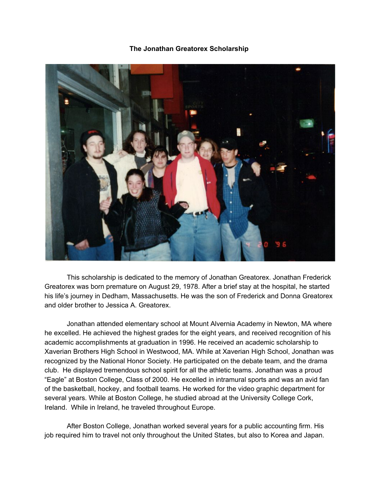**The Jonathan Greatorex Scholarship**



This scholarship is dedicated to the memory of Jonathan Greatorex. Jonathan Frederick Greatorex was born premature on August 29, 1978. After a brief stay at the hospital, he started his life's journey in Dedham, Massachusetts. He was the son of Frederick and Donna Greatorex and older brother to Jessica A. Greatorex.

Jonathan attended elementary school at Mount Alvernia Academy in Newton, MA where he excelled. He achieved the highest grades for the eight years, and received recognition of his academic accomplishments at graduation in 1996. He received an academic scholarship to Xaverian Brothers High School in Westwood, MA. While at Xaverian High School, Jonathan was recognized by the National Honor Society. He participated on the debate team, and the drama club. He displayed tremendous school spirit for all the athletic teams. Jonathan was a proud "Eagle" at Boston College, Class of 2000. He excelled in intramural sports and was an avid fan of the basketball, hockey, and football teams. He worked for the video graphic department for several years. While at Boston College, he studied abroad at the University College Cork, Ireland. While in Ireland, he traveled throughout Europe.

After Boston College, Jonathan worked several years for a public accounting firm. His job required him to travel not only throughout the United States, but also to Korea and Japan.